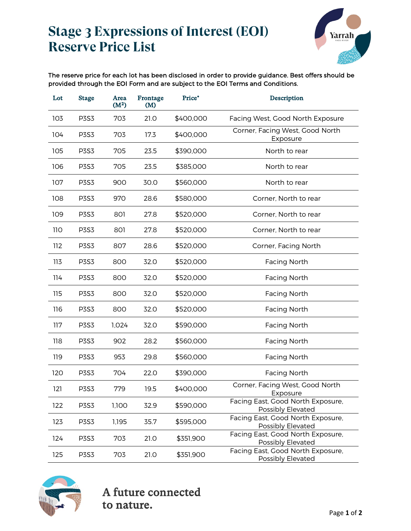## **Stage 3 Expressions of Interest (EOI) Reserve Price List**



The reserve price for each lot has been disclosed in order to provide guidance. Best offers should be provided through the EOI Form and are subject to the EOI Terms and Conditions.

| Lot  | <b>Stage</b> | Area<br>(M <sup>2</sup> ) | Frontage<br>(M) | Price*    | Description                                            |
|------|--------------|---------------------------|-----------------|-----------|--------------------------------------------------------|
| 103  | <b>P3S3</b>  | 703                       | 21.0            | \$400,000 | Facing West, Good North Exposure                       |
| 104  | <b>P3S3</b>  | 703                       | 17.3            | \$400,000 | Corner, Facing West, Good North<br>Exposure            |
| 105  | <b>P3S3</b>  | 705                       | 23.5            | \$390,000 | North to rear                                          |
| 106  | <b>P3S3</b>  | 705                       | 23.5            | \$385,000 | North to rear                                          |
| 107  | <b>P3S3</b>  | 900                       | 30.0            | \$560,000 | North to rear                                          |
| 108  | <b>P3S3</b>  | 970                       | 28.6            | \$580,000 | Corner, North to rear                                  |
| 109  | <b>P3S3</b>  | 801                       | 27.8            | \$520,000 | Corner, North to rear                                  |
| 11 O | <b>P3S3</b>  | 801                       | 27.8            | \$520,000 | Corner, North to rear                                  |
| 112  | <b>P3S3</b>  | 807                       | 28.6            | \$520,000 | Corner, Facing North                                   |
| 113  | <b>P3S3</b>  | 800                       | 32.0            | \$520,000 | <b>Facing North</b>                                    |
| 114  | <b>P3S3</b>  | 800                       | 32.0            | \$520,000 | <b>Facing North</b>                                    |
| 115  | <b>P3S3</b>  | 800                       | 32.0            | \$520,000 | <b>Facing North</b>                                    |
| 116  | <b>P3S3</b>  | 800                       | 32.0            | \$520,000 | Facing North                                           |
| 117  | <b>P3S3</b>  | 1,024                     | 32.0            | \$590,000 | <b>Facing North</b>                                    |
| 118  | <b>P3S3</b>  | 902                       | 28.2            | \$560,000 | <b>Facing North</b>                                    |
| 119  | <b>P3S3</b>  | 953                       | 29.8            | \$560,000 | <b>Facing North</b>                                    |
| 120  | <b>P3S3</b>  | 704                       | 22.0            | \$390,000 | <b>Facing North</b>                                    |
| 121  | <b>P3S3</b>  | 779                       | 19.5            | \$400,000 | Corner, Facing West, Good North<br>Exposure            |
| 122  | <b>P3S3</b>  | 1,100                     | 32.9            | \$590,000 | Facing East, Good North Exposure,<br>Possibly Elevated |
| 123  | <b>P3S3</b>  | 1,195                     | 35.7            | \$595,000 | Facing East, Good North Exposure,<br>Possibly Elevated |
| 124  | <b>P3S3</b>  | 703                       | 21.0            | \$351,900 | Facing East, Good North Exposure,<br>Possibly Elevated |
| 125  | <b>P3S3</b>  | 703                       | 21.0            | \$351,900 | Facing East, Good North Exposure,<br>Possibly Elevated |

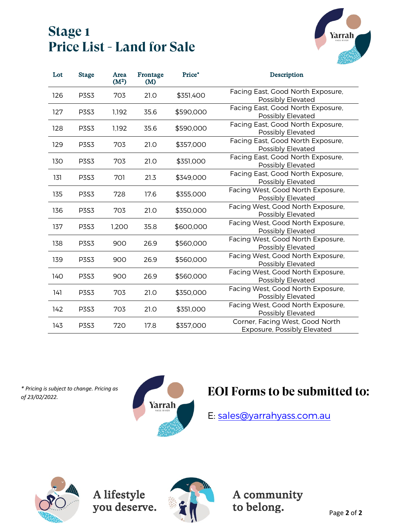### **Stage 1 Price List - Land for Sale**



| Lot | <b>Stage</b> | Area<br>(M <sup>2</sup> ) | Frontage<br>(M) | Price*    | Description                                                    |
|-----|--------------|---------------------------|-----------------|-----------|----------------------------------------------------------------|
| 126 | <b>P3S3</b>  | 703                       | 21.0            | \$351,400 | Facing East, Good North Exposure,<br>Possibly Elevated         |
| 127 | <b>P3S3</b>  | 1,192                     | 35.6            | \$590,000 | Facing East, Good North Exposure,<br>Possibly Elevated         |
| 128 | <b>P3S3</b>  | 1,192                     | 35.6            | \$590,000 | Facing East, Good North Exposure,<br>Possibly Elevated         |
| 129 | <b>P3S3</b>  | 703                       | 21.0            | \$357,000 | Facing East, Good North Exposure,<br>Possibly Elevated         |
| 130 | <b>P3S3</b>  | 703                       | 21.0            | \$351,000 | Facing East, Good North Exposure,<br>Possibly Elevated         |
| 131 | <b>P3S3</b>  | 701                       | 21.3            | \$349,000 | Facing East, Good North Exposure,<br>Possibly Elevated         |
| 135 | <b>P3S3</b>  | 728                       | 17.6            | \$355,000 | Facing West, Good North Exposure,<br>Possibly Elevated         |
| 136 | <b>P3S3</b>  | 703                       | 21.0            | \$350,000 | Facing West, Good North Exposure,<br>Possibly Elevated         |
| 137 | <b>P3S3</b>  | 1,200                     | 35.8            | \$600,000 | Facing West, Good North Exposure,<br>Possibly Elevated         |
| 138 | <b>P3S3</b>  | 900                       | 26.9            | \$560,000 | Facing West, Good North Exposure,<br>Possibly Elevated         |
| 139 | <b>P3S3</b>  | 900                       | 26.9            | \$560,000 | Facing West, Good North Exposure,<br>Possibly Elevated         |
| 140 | P3S3         | 900                       | 26.9            | \$560,000 | Facing West, Good North Exposure,<br>Possibly Elevated         |
| 141 | <b>P3S3</b>  | 703                       | 21.0            | \$350,000 | Facing West, Good North Exposure,<br>Possibly Elevated         |
| 142 | <b>P3S3</b>  | 703                       | 21.0            | \$351,000 | Facing West, Good North Exposure,<br>Possibly Elevated         |
| 143 | <b>P3S3</b>  | 720                       | 17.8            | \$357,000 | Corner, Facing West, Good North<br>Exposure, Possibly Elevated |

*\* Pricing is subject to change. Pricing as*



# *of* 23/02/2022. **Pricing is subject to change. Pricing as EOI Forms to be submitted to:**

E: [sales@yarrahyass.com.au](mailto:sales@yarrahyass.com.au)



A lifestyle you deserve.



A community to belong.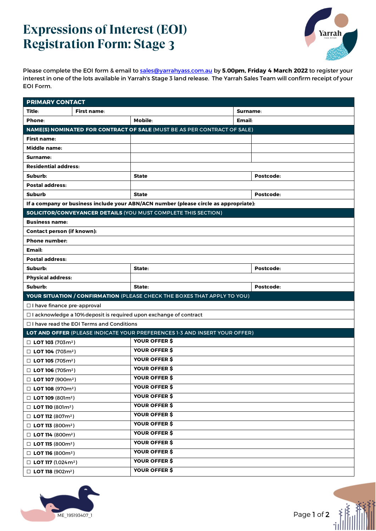# **Expressions of Interest (EOI) Registration Form: Stage 3**



Please complete the EOI form & email to [sales@yarrahyass.com.au](mailto:sales@yarrahyass.com.au) by **5.00pm, Friday 4 March 2022** to register your interest in one of the lots available in Yarrah's Stage 3 land release. The Yarrah Sales Team will confirm receipt of your EOI Form.

| <b>PRIMARY CONTACT</b>                                                        |                                                 |                                                                                      |  |           |  |  |
|-------------------------------------------------------------------------------|-------------------------------------------------|--------------------------------------------------------------------------------------|--|-----------|--|--|
| Title:                                                                        | <b>First name:</b>                              | Surname:                                                                             |  |           |  |  |
| Phone:                                                                        |                                                 | Mobile:<br>Email:                                                                    |  |           |  |  |
|                                                                               |                                                 | NAME(S) NOMINATED FOR CONTRACT OF SALE (MUST BE AS PER CONTRACT OF SALE)             |  |           |  |  |
| First name:                                                                   |                                                 |                                                                                      |  |           |  |  |
| Middle name:                                                                  |                                                 |                                                                                      |  |           |  |  |
| Surname:                                                                      |                                                 |                                                                                      |  |           |  |  |
| <b>Residential address:</b>                                                   |                                                 |                                                                                      |  |           |  |  |
| Suburb:                                                                       |                                                 | <b>State</b>                                                                         |  | Postcode: |  |  |
| <b>Postal address:</b>                                                        |                                                 |                                                                                      |  |           |  |  |
| <b>Suburb</b>                                                                 |                                                 | <b>State</b>                                                                         |  | Postcode: |  |  |
|                                                                               |                                                 | If a company or business include your ABN/ACN number (please circle as appropriate): |  |           |  |  |
|                                                                               |                                                 | <b>SOLICITOR/CONVEYANCER DETAILS (YOU MUST COMPLETE THIS SECTION)</b>                |  |           |  |  |
| <b>Business name:</b>                                                         |                                                 |                                                                                      |  |           |  |  |
| <b>Contact person (if known):</b>                                             |                                                 |                                                                                      |  |           |  |  |
| <b>Phone number:</b>                                                          |                                                 |                                                                                      |  |           |  |  |
| Email:                                                                        |                                                 |                                                                                      |  |           |  |  |
| <b>Postal address:</b>                                                        |                                                 |                                                                                      |  |           |  |  |
| Suburb:                                                                       |                                                 | State:                                                                               |  | Postcode: |  |  |
| <b>Physical address:</b>                                                      |                                                 |                                                                                      |  |           |  |  |
| Suburb:                                                                       |                                                 | State:                                                                               |  | Postcode: |  |  |
|                                                                               |                                                 | YOUR SITUATION / CONFIRMATION (PLEASE CHECK THE BOXES THAT APPLY TO YOU)             |  |           |  |  |
| □ I have finance pre-approval                                                 |                                                 |                                                                                      |  |           |  |  |
|                                                                               |                                                 | □ I acknowledge a 10% deposit is required upon exchange of contract                  |  |           |  |  |
|                                                                               | $\Box$ I have read the EOI Terms and Conditions |                                                                                      |  |           |  |  |
|                                                                               |                                                 | LOT AND OFFER (PLEASE INDICATE YOUR PREFERENCES 1-3 AND INSERT YOUR OFFER)           |  |           |  |  |
| $\Box$ LOT 103 (703m <sup>2</sup> )                                           |                                                 | YOUR OFFER \$                                                                        |  |           |  |  |
| $\Box$ LOT 104 (703m <sup>2</sup> )                                           |                                                 | YOUR OFFER \$                                                                        |  |           |  |  |
| $\Box$ LOT 105 (705m <sup>2</sup> )                                           |                                                 | YOUR OFFER \$                                                                        |  |           |  |  |
| □ LOT 106 (705m <sup>2</sup> )                                                |                                                 | YOUR OFFER \$                                                                        |  |           |  |  |
| $\Box$ LOT 107 (900m <sup>2</sup> )                                           |                                                 | YOUR OFFER \$                                                                        |  |           |  |  |
| $\Box$ LOT 108 (970m <sup>2</sup> )                                           |                                                 | YOUR OFFER \$                                                                        |  |           |  |  |
| $\Box$ LOT 109 (801m <sup>2</sup> )                                           |                                                 | YOUR OFFER \$                                                                        |  |           |  |  |
| $\Box$ LOT 110 (801m <sup>2</sup> )                                           |                                                 | <b>YOUR OFFER \$</b>                                                                 |  |           |  |  |
| $\Box$ LOT 112 (807m <sup>2</sup> )                                           |                                                 | YOUR OFFER \$                                                                        |  |           |  |  |
| $\Box$ LOT 113 (800m <sup>2</sup> )                                           |                                                 | YOUR OFFER \$                                                                        |  |           |  |  |
| $\Box$ LOT 114 (800m <sup>2</sup> )                                           |                                                 | YOUR OFFER \$                                                                        |  |           |  |  |
| $\Box$ LOT 115 (800m <sup>2</sup> )                                           |                                                 | <b>YOUR OFFER \$</b>                                                                 |  |           |  |  |
| $\Box$ LOT 116 (800m <sup>2</sup> )                                           |                                                 | <b>YOUR OFFER \$</b>                                                                 |  |           |  |  |
| $\Box$ LOT 117 (1,024 m <sup>2</sup> )<br>$\Box$ LOT 118 (902m <sup>2</sup> ) |                                                 | YOUR OFFER \$                                                                        |  |           |  |  |
|                                                                               |                                                 | YOUR OFFER \$                                                                        |  |           |  |  |